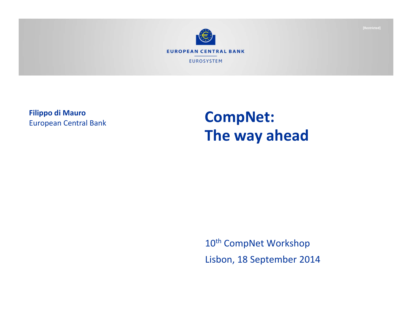

**Filippo di Mauro** European Central Bank

## **CompNet: The way ahead**

10<sup>th</sup> CompNet Workshop Lisbon, 18 September 2014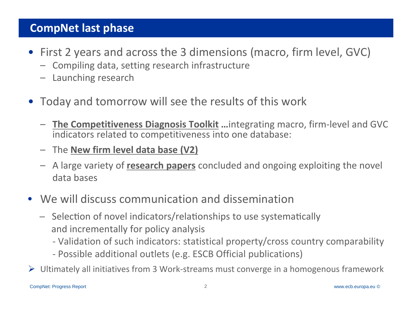#### **CompNet last phase**

- First 2 years and across the 3 dimensions (macro, firm level, GVC)
	- Compiling data, setting research infrastructure
	- Launching research
- Today and tomorrow will see the results of this work
	- **The Competitiveness Diagnosis Toolkit …**integrating macro, firm‐level and GVC indicators related to competitiveness into one database:
	- The **New firm level data base (V2)**
	- A large variety of **research papers** concluded and ongoing exploiting the novel data bases
- We will discuss communication and dissemination
	- $-$  Selection of novel indicators/relationships to use systematically and incrementally for policy analysis
		- ‐ Validation of such indicators: statistical property/cross country comparability
		- ‐ Possible additional outlets (e.g. ESCB Official publications)
- Ultimately all initiatives from 3 Work‐streams must converge in <sup>a</sup> homogenous framework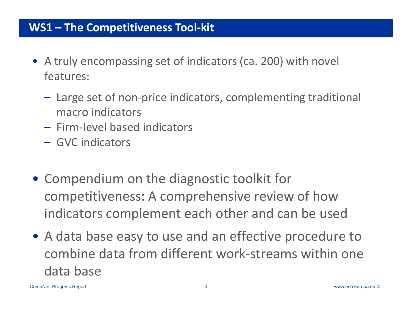#### Rubric **WS1 – The Competitiveness Tool‐kit**

- A truly encompassing set of indicators (ca. 200) with novel features:
	- Large set of non‐price indicators, complementing traditional macro indicators
	- Firm‐level based indicators
	- GVC indicators
- Compendium on the diagnostic toolkit for competitiveness: A comprehensive review of how indicators complement each other and can be used
- A data base easy to use and an effective procedure to combine data from different work‐streams within one data base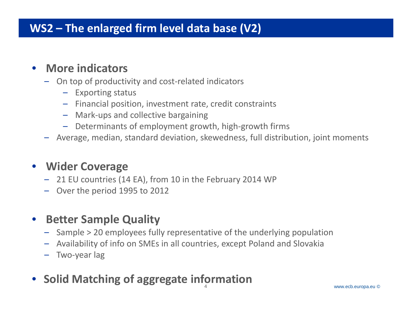## Rubric **WS2 – The enlarged firm level data base (V2)**

#### $\bullet$ **More indicators**

- On top of productivity and cost‐related indicators
	- Exporting status
	- Financial position, investment rate, credit constraints
	- Mark‐ups and collective bargaining
	- Determinants of employment growth, high‐growth firms
- –Average, median, standard deviation, skewedness, full distribution, joint moments

#### • **Wider Coverage**

- 21 EU countries (14 EA), from 10 in the February 2014 WP
- Over the period 1995 to 2012

#### $\bullet$ **Better Sample Quality**

- Sample <sup>&</sup>gt; 20 employees fully representative of the underlying population
- –Availability of info on SMEs in all countries, except Poland and Slovakia
- –Two‐year lag
- 4 $\bullet$ **Solid Matching of aggregate information**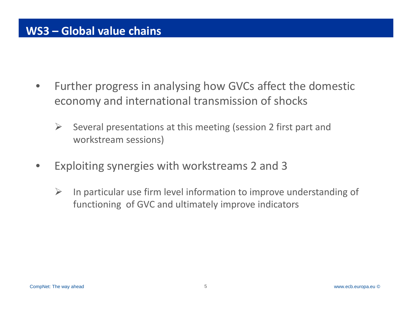- • Further progress in analysing how GVCs affect the domestic economy and international transmission of shocks
	- $\blacktriangleright$  Several presentations at this meeting (session 2 first part and workstream sessions)
- • Exploiting synergies with workstreams 2 and 3
	- $\sum_{i=1}^{n}$  In particular use firm level information to improve understanding of functioning of GVC and ultimately improve indicators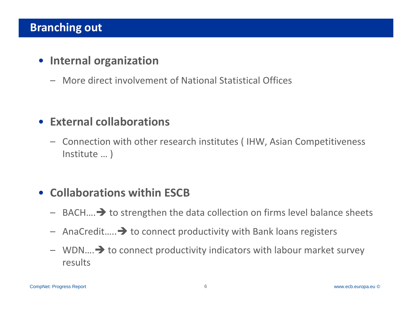#### **Branching out**

### • **Internal organization**

– More direct involvement of National Statistical Offices

#### • **External collaborations**

– Connection with other research institutes ( IHW, Asian Competitiveness Institute … )

## • **Collaborations within ESCB**

- $-$  BACH.... $\rightarrow$  to strengthen the data collection on firms level balance sheets
- $-$  AnaCredit..... $\rightarrow$  to connect productivity with Bank loans registers
- $-$  WDN $...$   $\rightarrow$  to connect productivity indicators with labour market survey results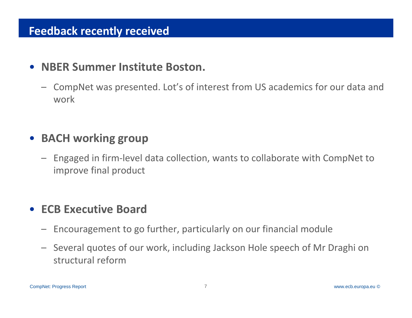#### **Feedback recently received**

#### $\bullet$ **NBER Summer Institute Boston.**

– CompNet was presented. Lot's of interest from US academics for our data and work

## • **BACH working group**

– Engaged in firm‐level data collection, wants to collaborate with CompNet to improve final product

#### •**ECB Executive Board**

- $\overline{\phantom{0}}$ Encouragement to go further, particularly on our financial module
- Several quotes of our work, including Jackson Hole speech of Mr Draghi on structural reform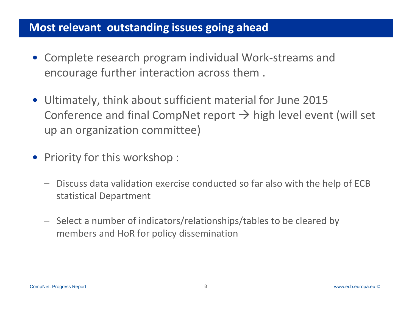#### **Most relevant outstanding issues going ahead**

- Complete research program individual Work‐streams and encourage further interaction across them .
- Ultimately, think about sufficient material for June 2015 Conference and final CompNet report  $\rightarrow$  high level event (will set up an organization committee)
- Priority for this workshop :
	- Discuss data validation exercise conducted so far also with the help of ECB statistical Department
	- Select a number of indicators/relationships/tables to be cleared by members and HoR for policy dissemination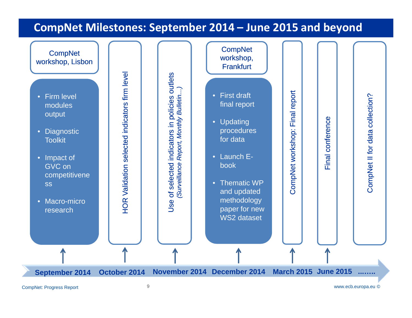#### **CompNet Milestones: September 2014 – June 2015 and beyond**